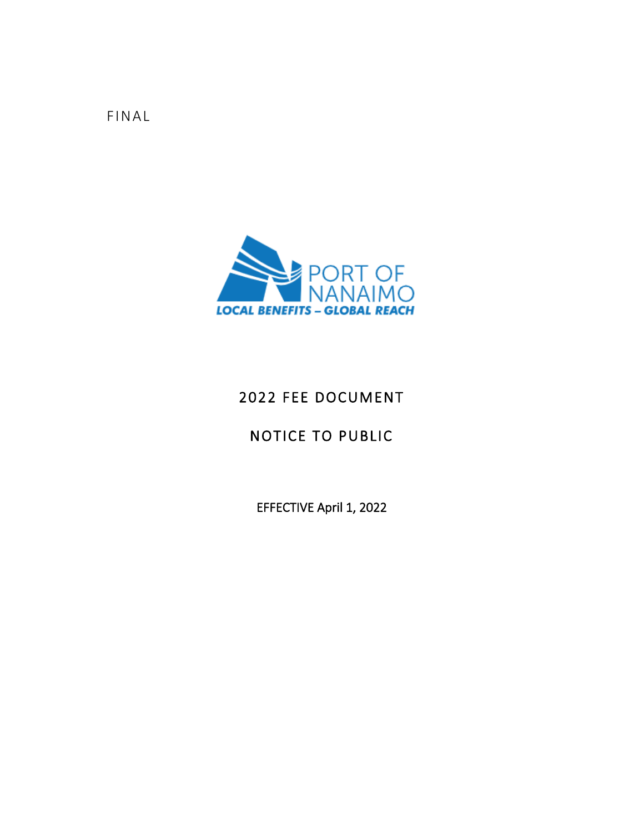FINAL



# 2022 FEE DOCUMENT

# NOTICE TO PUBLIC

EFFECTIVE April 1, 2022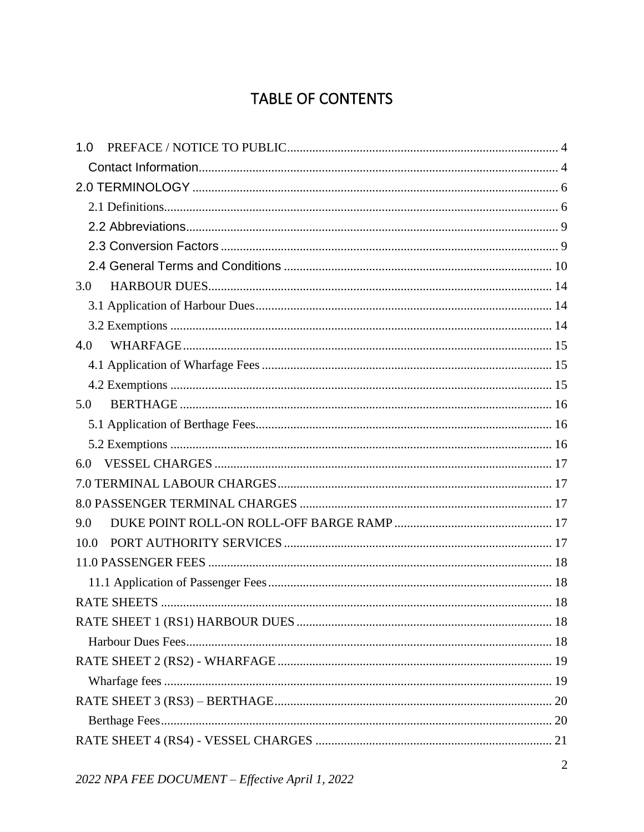# TABLE OF CONTENTS

| 1.0  |  |
|------|--|
|      |  |
|      |  |
|      |  |
|      |  |
|      |  |
|      |  |
| 3.0  |  |
|      |  |
|      |  |
| 4.0  |  |
|      |  |
|      |  |
| 5.0  |  |
|      |  |
|      |  |
| 6.0  |  |
|      |  |
|      |  |
| 9.0  |  |
| 10.0 |  |
|      |  |
|      |  |
|      |  |
|      |  |
|      |  |
|      |  |
|      |  |
|      |  |
|      |  |
|      |  |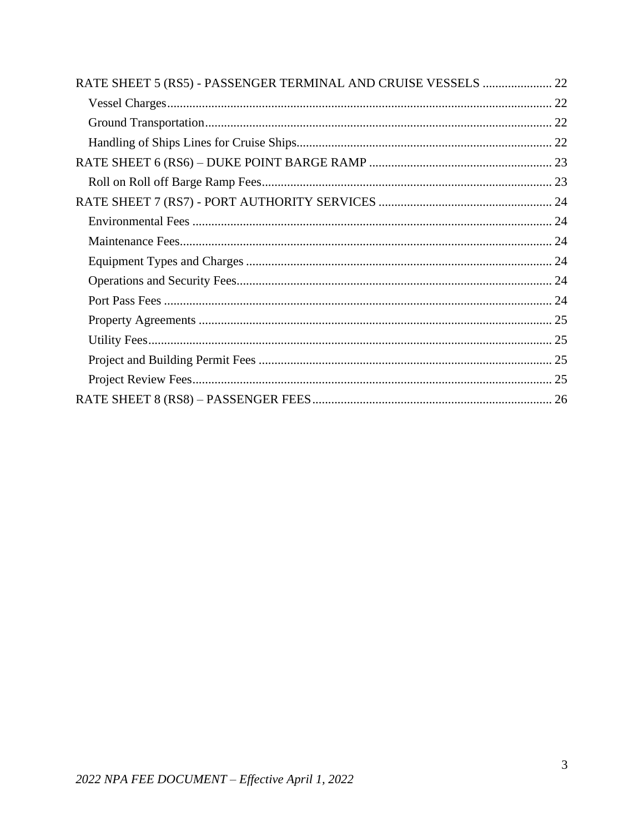| RATE SHEET 5 (RS5) - PASSENGER TERMINAL AND CRUISE VESSELS  22 |  |
|----------------------------------------------------------------|--|
|                                                                |  |
|                                                                |  |
|                                                                |  |
|                                                                |  |
|                                                                |  |
|                                                                |  |
|                                                                |  |
|                                                                |  |
|                                                                |  |
|                                                                |  |
|                                                                |  |
|                                                                |  |
|                                                                |  |
|                                                                |  |
|                                                                |  |
|                                                                |  |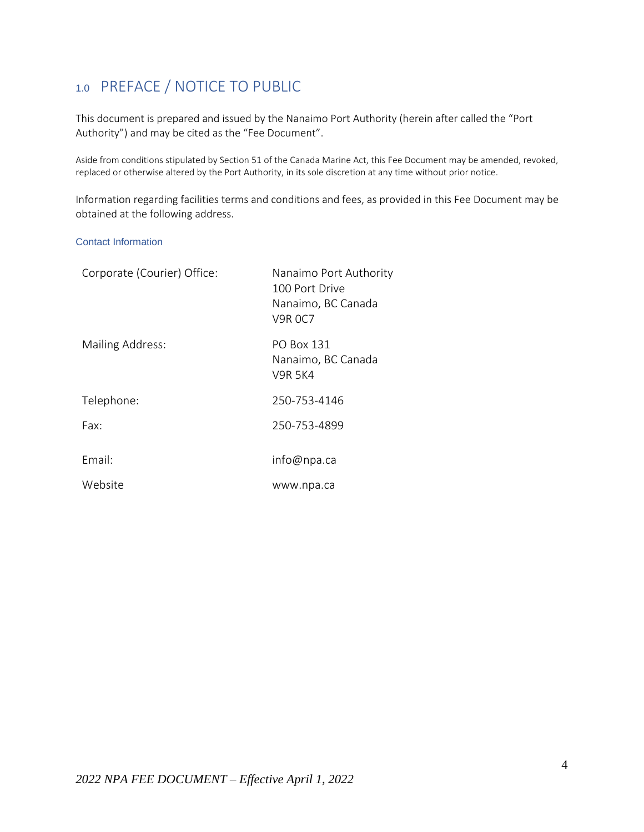# <span id="page-3-0"></span>1.0 PREFACE / NOTICE TO PUBLIC

This document is prepared and issued by the Nanaimo Port Authority (herein after called the "Port Authority") and may be cited as the "Fee Document".

Aside from conditions stipulated by Section 51 of the Canada Marine Act, this Fee Document may be amended, revoked, replaced or otherwise altered by the Port Authority, in its sole discretion at any time without prior notice.

Information regarding facilities terms and conditions and fees, as provided in this Fee Document may be obtained at the following address.

#### <span id="page-3-1"></span>Contact Information

| Corporate (Courier) Office: | Nanaimo Port Authority<br>100 Port Drive<br>Nanaimo, BC Canada<br><b>V9R 0C7</b> |
|-----------------------------|----------------------------------------------------------------------------------|
| Mailing Address:            | PO Box 131<br>Nanaimo, BC Canada<br><b>V9R 5K4</b>                               |
| Telephone:                  | 250-753-4146                                                                     |
| Fax:                        | 250-753-4899                                                                     |
| Email:                      | info@npa.ca                                                                      |
| Website                     | www.npa.ca                                                                       |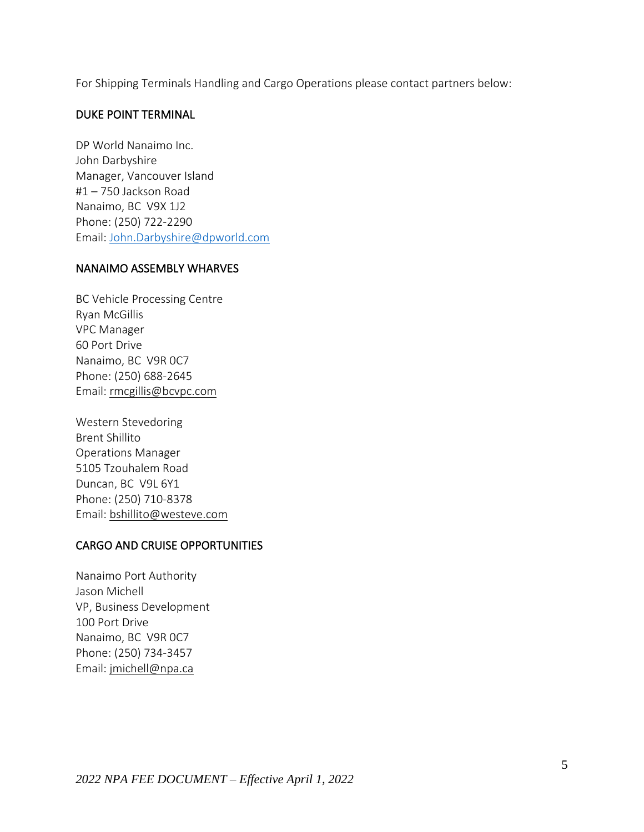For Shipping Terminals Handling and Cargo Operations please contact partners below:

### DUKE POINT TERMINAL

DP World Nanaimo Inc. John Darbyshire Manager, Vancouver Island #1 – 750 Jackson Road Nanaimo, BC V9X 1J2 Phone: (250) 722-2290 Email: [John.Darbyshire@dpworld.com](mailto:John.Darbyshire@dpworld.com)

### NANAIMO ASSEMBLY WHARVES

BC Vehicle Processing Centre Ryan McGillis VPC Manager 60 Port Drive Nanaimo, BC V9R 0C7 Phone: (250) 688-2645 Email: [rmcgillis@bcvpc.com](mailto:rmcgillis@bcvpc.com)

Western Stevedoring Brent Shillito Operations Manager 5105 Tzouhalem Road Duncan, BC V9L 6Y1 Phone: (250) 710-8378 Email: [bshillito@westeve.com](mailto:bshillito@westeve.com)

### CARGO AND CRUISE OPPORTUNITIES

Nanaimo Port Authority Jason Michell VP, Business Development 100 Port Drive Nanaimo, BC V9R 0C7 Phone: (250) 734-3457 Email: [jmichell@npa.ca](mailto:jmichell@npa.ca)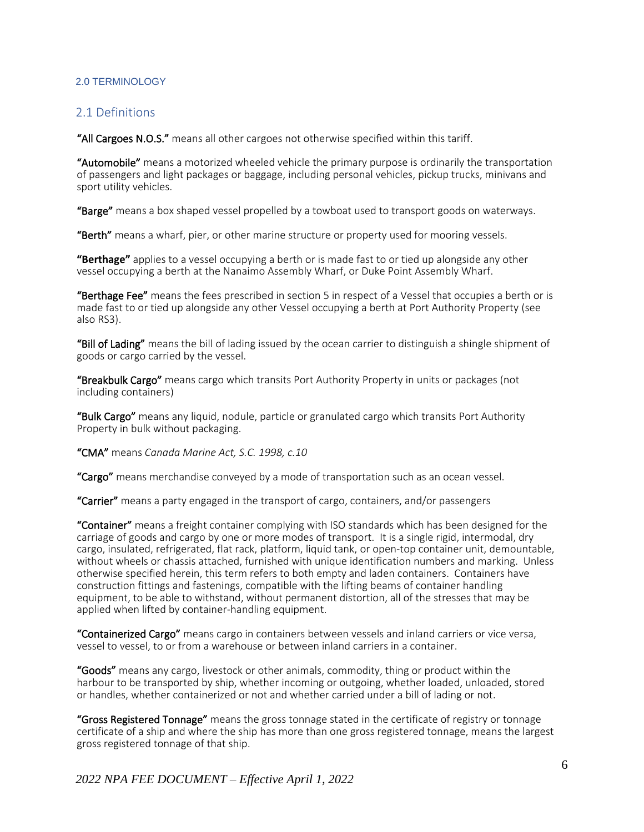#### <span id="page-5-0"></span>2.0 TERMINOLOGY

### <span id="page-5-1"></span>2.1 Definitions

"All Cargoes N.O.S." means all other cargoes not otherwise specified within this tariff.

"Automobile" means a motorized wheeled vehicle the primary purpose is ordinarily the transportation of passengers and light packages or baggage, including personal vehicles, pickup trucks, minivans and sport utility vehicles.

"Barge" means a box shaped vessel propelled by a towboat used to transport goods on waterways.

"Berth" means a wharf, pier, or other marine structure or property used for mooring vessels.

**"Berthage"** applies to a vessel occupying a berth or is made fast to or tied up alongside any other vessel occupying a berth at the Nanaimo Assembly Wharf, or Duke Point Assembly Wharf.

"Berthage Fee" means the fees prescribed in section 5 in respect of a Vessel that occupies a berth or is made fast to or tied up alongside any other Vessel occupying a berth at Port Authority Property (see also RS3).

"Bill of Lading" means the bill of lading issued by the ocean carrier to distinguish a shingle shipment of goods or cargo carried by the vessel.

"Breakbulk Cargo" means cargo which transits Port Authority Property in units or packages (not including containers)

"Bulk Cargo" means any liquid, nodule, particle or granulated cargo which transits Port Authority Property in bulk without packaging.

"CMA" means *Canada Marine Act, S.C. 1998, c.10*

"Cargo" means merchandise conveyed by a mode of transportation such as an ocean vessel.

"Carrier" means a party engaged in the transport of cargo, containers, and/or passengers

"Container" means a freight container complying with ISO standards which has been designed for the carriage of goods and cargo by one or more modes of transport. It is a single rigid, intermodal, dry cargo, insulated, refrigerated, flat rack, platform, liquid tank, or open-top container unit, demountable, without wheels or chassis attached, furnished with unique identification numbers and marking. Unless otherwise specified herein, this term refers to both empty and laden containers. Containers have construction fittings and fastenings, compatible with the lifting beams of container handling equipment, to be able to withstand, without permanent distortion, all of the stresses that may be applied when lifted by container-handling equipment.

"Containerized Cargo" means cargo in containers between vessels and inland carriers or vice versa, vessel to vessel, to or from a warehouse or between inland carriers in a container.

"Goods" means any cargo, livestock or other animals, commodity, thing or product within the harbour to be transported by ship, whether incoming or outgoing, whether loaded, unloaded, stored or handles, whether containerized or not and whether carried under a bill of lading or not.

"Gross Registered Tonnage" means the gross tonnage stated in the certificate of registry or tonnage certificate of a ship and where the ship has more than one gross registered tonnage, means the largest gross registered tonnage of that ship.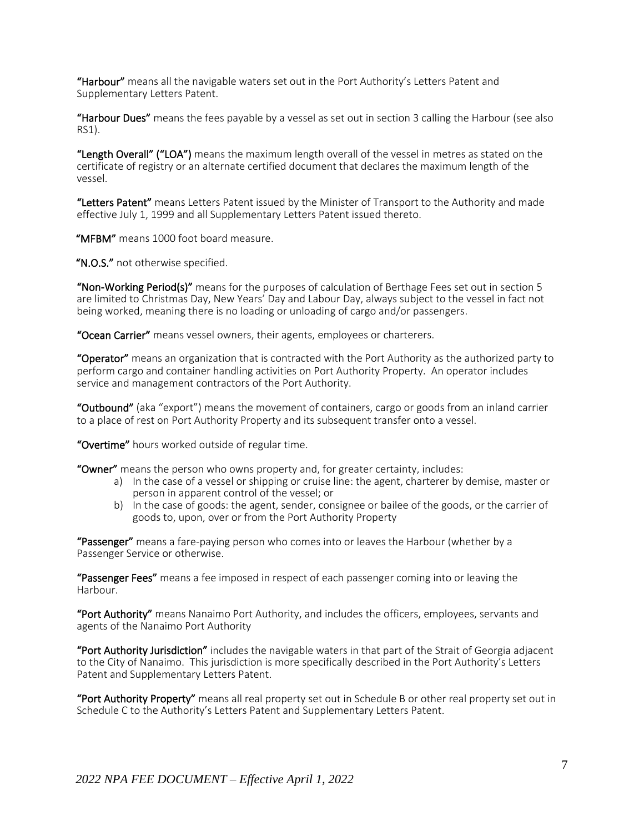"Harbour" means all the navigable waters set out in the Port Authority's Letters Patent and Supplementary Letters Patent.

"Harbour Dues" means the fees payable by a vessel as set out in section 3 calling the Harbour (see also RS1).

"Length Overall" ("LOA") means the maximum length overall of the vessel in metres as stated on the certificate of registry or an alternate certified document that declares the maximum length of the vessel.

"Letters Patent" means Letters Patent issued by the Minister of Transport to the Authority and made effective July 1, 1999 and all Supplementary Letters Patent issued thereto.

"MFBM" means 1000 foot board measure.

"N.O.S." not otherwise specified.

"Non-Working Period(s)" means for the purposes of calculation of Berthage Fees set out in section 5 are limited to Christmas Day, New Years' Day and Labour Day, always subject to the vessel in fact not being worked, meaning there is no loading or unloading of cargo and/or passengers.

"Ocean Carrier" means vessel owners, their agents, employees or charterers.

"Operator" means an organization that is contracted with the Port Authority as the authorized party to perform cargo and container handling activities on Port Authority Property. An operator includes service and management contractors of the Port Authority.

"Outbound" (aka "export") means the movement of containers, cargo or goods from an inland carrier to a place of rest on Port Authority Property and its subsequent transfer onto a vessel.

"Overtime" hours worked outside of regular time.

"Owner" means the person who owns property and, for greater certainty, includes:

- a) In the case of a vessel or shipping or cruise line: the agent, charterer by demise, master or person in apparent control of the vessel; or
- b) in the case of goods: the agent, sender, consignee or bailee of the goods, or the carrier of goods to, upon, over or from the Port Authority Property

"Passenger" means a fare-paying person who comes into or leaves the Harbour (whether by a Passenger Service or otherwise.

"Passenger Fees" means a fee imposed in respect of each passenger coming into or leaving the Harbour.

"Port Authority" means Nanaimo Port Authority, and includes the officers, employees, servants and agents of the Nanaimo Port Authority

"Port Authority Jurisdiction" includes the navigable waters in that part of the Strait of Georgia adjacent to the City of Nanaimo. This jurisdiction is more specifically described in the Port Authority's Letters Patent and Supplementary Letters Patent.

"Port Authority Property" means all real property set out in Schedule B or other real property set out in Schedule C to the Authority's Letters Patent and Supplementary Letters Patent.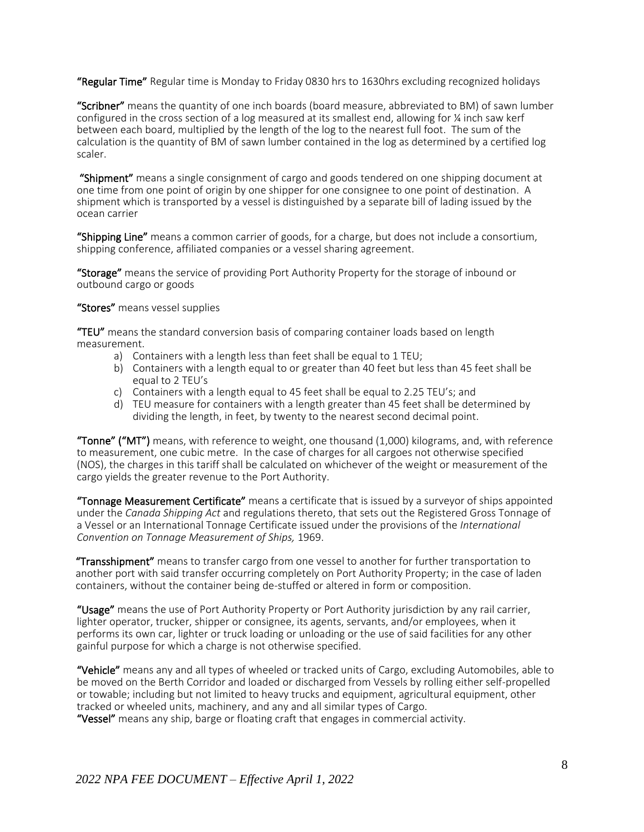"Regular Time" Regular time is Monday to Friday 0830 hrs to 1630hrs excluding recognized holidays

"Scribner" means the quantity of one inch boards (board measure, abbreviated to BM) of sawn lumber configured in the cross section of a log measured at its smallest end, allowing for ¼ inch saw kerf between each board, multiplied by the length of the log to the nearest full foot. The sum of the calculation is the quantity of BM of sawn lumber contained in the log as determined by a certified log scaler.

"Shipment" means a single consignment of cargo and goods tendered on one shipping document at one time from one point of origin by one shipper for one consignee to one point of destination. A shipment which is transported by a vessel is distinguished by a separate bill of lading issued by the ocean carrier

"Shipping Line" means a common carrier of goods, for a charge, but does not include a consortium, shipping conference, affiliated companies or a vessel sharing agreement.

"Storage" means the service of providing Port Authority Property for the storage of inbound or outbound cargo or goods

"Stores" means vessel supplies

"TEU" means the standard conversion basis of comparing container loads based on length measurement.

- a) Containers with a length less than feet shall be equal to 1 TEU;
- b) Containers with a length equal to or greater than 40 feet but less than 45 feet shall be equal to 2 TEU's
- c) Containers with a length equal to 45 feet shall be equal to 2.25 TEU's; and
- d) TEU measure for containers with a length greater than 45 feet shall be determined by dividing the length, in feet, by twenty to the nearest second decimal point.

"Tonne" ("MT") means, with reference to weight, one thousand (1,000) kilograms, and, with reference to measurement, one cubic metre. In the case of charges for all cargoes not otherwise specified (NOS), the charges in this tariff shall be calculated on whichever of the weight or measurement of the cargo yields the greater revenue to the Port Authority.

"Tonnage Measurement Certificate" means a certificate that is issued by a surveyor of ships appointed under the *Canada Shipping Act* and regulations thereto, that sets out the Registered Gross Tonnage of a Vessel or an International Tonnage Certificate issued under the provisions of the *International Convention on Tonnage Measurement of Ships,* 1969.

"Transshipment" means to transfer cargo from one vessel to another for further transportation to another port with said transfer occurring completely on Port Authority Property; in the case of laden containers, without the container being de-stuffed or altered in form or composition.

"Usage" means the use of Port Authority Property or Port Authority jurisdiction by any rail carrier, lighter operator, trucker, shipper or consignee, its agents, servants, and/or employees, when it performs its own car, lighter or truck loading or unloading or the use of said facilities for any other gainful purpose for which a charge is not otherwise specified.

"Vehicle" means any and all types of wheeled or tracked units of Cargo, excluding Automobiles, able to be moved on the Berth Corridor and loaded or discharged from Vessels by rolling either self-propelled or towable; including but not limited to heavy trucks and equipment, agricultural equipment, other tracked or wheeled units, machinery, and any and all similar types of Cargo.

"Vessel" means any ship, barge or floating craft that engages in commercial activity.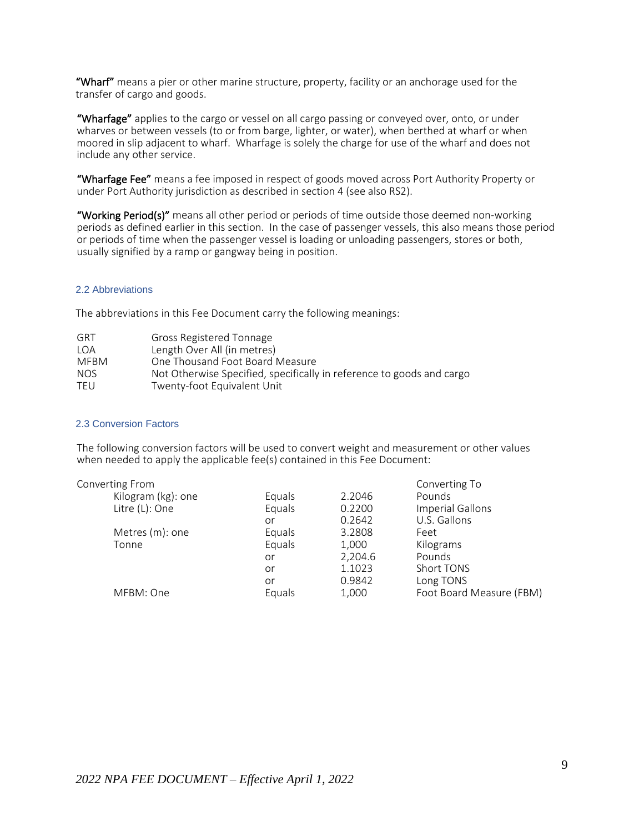"Wharf" means a pier or other marine structure, property, facility or an anchorage used for the transfer of cargo and goods.

"Wharfage" applies to the cargo or vessel on all cargo passing or conveyed over, onto, or under wharves or between vessels (to or from barge, lighter, or water), when berthed at wharf or when moored in slip adjacent to wharf. Wharfage is solely the charge for use of the wharf and does not include any other service.

"Wharfage Fee" means a fee imposed in respect of goods moved across Port Authority Property or under Port Authority jurisdiction as described in section 4 (see also RS2).

"Working Period(s)" means all other period or periods of time outside those deemed non-working periods as defined earlier in this section. In the case of passenger vessels, this also means those period or periods of time when the passenger vessel is loading or unloading passengers, stores or both, usually signified by a ramp or gangway being in position.

#### <span id="page-8-0"></span>2.2 Abbreviations

The abbreviations in this Fee Document carry the following meanings:

| GRT         | Gross Registered Tonnage                                              |
|-------------|-----------------------------------------------------------------------|
| I OA        | Length Over All (in metres)                                           |
| <b>MFRM</b> | One Thousand Foot Board Measure                                       |
| NOS.        | Not Otherwise Specified, specifically in reference to goods and cargo |
| TFU         | Twenty-foot Equivalent Unit                                           |

#### <span id="page-8-1"></span>2.3 Conversion Factors

The following conversion factors will be used to convert weight and measurement or other values when needed to apply the applicable fee(s) contained in this Fee Document:

| Converting From    |        |         | Converting To            |
|--------------------|--------|---------|--------------------------|
| Kilogram (kg): one | Equals | 2.2046  | Pounds                   |
| Litre (L): One     | Equals | 0.2200  | Imperial Gallons         |
|                    | or     | 0.2642  | U.S. Gallons             |
| Metres (m): one    | Equals | 3.2808  | Feet                     |
| Tonne              | Equals | 1,000   | Kilograms                |
|                    | or     | 2,204.6 | Pounds                   |
|                    | or     | 1.1023  | Short TONS               |
|                    | or     | 0.9842  | Long TONS                |
| MFBM: One          | Equals | 1,000   | Foot Board Measure (FBM) |
|                    |        |         |                          |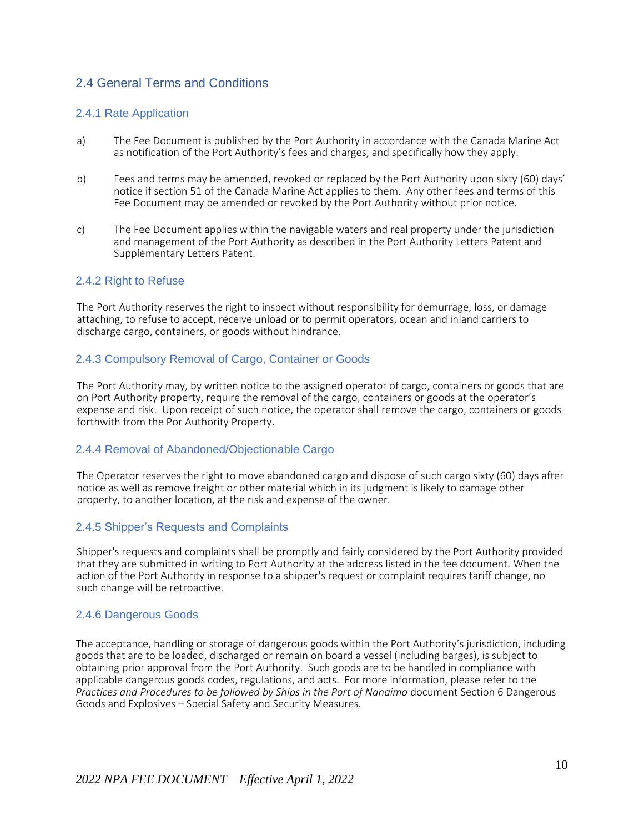### <span id="page-9-0"></span>2.4 General Terms and Conditions

### 2.4.1 Rate Application

- a) The Fee Document is published by the Port Authority in accordance with the Canada Marine Act as notification of the Port Authority's fees and charges, and specifically how they apply.
- b) Fees and terms may be amended, revoked or replaced by the Port Authority upon sixty (60) days' notice if section 51 of the Canada Marine Act applies to them. Any other fees and terms of this Fee Document may be amended or revoked by the Port Authority without prior notice.
- c) The Fee Document applies within the navigable waters and real property under the jurisdiction and management of the Port Authority as described in the Port Authority Letters Patent and Supplementary Letters Patent.

#### 2.4.2 Right to Refuse

The Port Authority reserves the right to inspect without responsibility for demurrage, loss, or damage attaching, to refuse to accept, receive unload or to permit operators, ocean and inland carriers to discharge cargo, containers, or goods without hindrance.

### 2.4.3 Compulsory Removal of Cargo, Container or Goods

The Port Authority may, by written notice to the assigned operator of cargo, containers or goods that are on Port Authority property, require the removal of the cargo, containers or goods at the operator's expense and risk. Upon receipt of such notice, the operator shall remove the cargo, containers or goods forthwith from the Por Authority Property.

#### 2.4.4 Removal of Abandoned/Objectionable Cargo

The Operator reserves the right to move abandoned cargo and dispose of such cargo sixty (60) days after notice as well as remove freight or other material which in its judgment is likely to damage other property, to another location, at the risk and expense of the owner.

### 2.4.5 Shipper's Requests and Complaints

Shipper's requests and complaints shall be promptly and fairly considered by the Port Authority provided that they are submitted in writing to Port Authority at the address listed in the fee document. When the action of the Port Authority in response to a shipper's request or complaint requires tariff change, no such change will be retroactive.

### 2.4.6 Dangerous Goods

The acceptance, handling or storage of dangerous goods within the Port Authority's jurisdiction, including goods that are to be loaded, discharged or remain on board a vessel (including barges), is subject to obtaining prior approval from the Port Authority. Such goods are to be handled in compliance with applicable dangerous goods codes, regulations, and acts. For more information, please refer to the *Practices and Procedures to be followed by Ships in the Port of Nanaimo* document Section 6 Dangerous Goods and Explosives – Special Safety and Security Measures.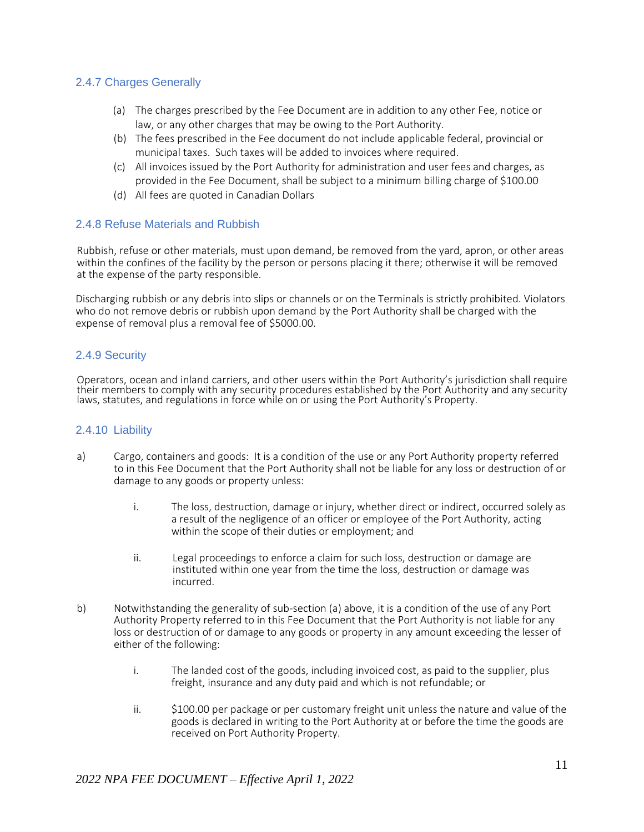### 2.4.7 Charges Generally

- (a) The charges prescribed by the Fee Document are in addition to any other Fee, notice or law, or any other charges that may be owing to the Port Authority.
- (b) The fees prescribed in the Fee document do not include applicable federal, provincial or municipal taxes. Such taxes will be added to invoices where required.
- (c) All invoices issued by the Port Authority for administration and user fees and charges, as provided in the Fee Document, shall be subject to a minimum billing charge of \$100.00
- (d) All fees are quoted in Canadian Dollars

### 2.4.8 Refuse Materials and Rubbish

Rubbish, refuse or other materials, must upon demand, be removed from the yard, apron, or other areas within the confines of the facility by the person or persons placing it there; otherwise it will be removed at the expense of the party responsible.

Discharging rubbish or any debris into slips or channels or on the Terminals is strictly prohibited. Violators who do not remove debris or rubbish upon demand by the Port Authority shall be charged with the expense of removal plus a removal fee of \$5000.00.

### 2.4.9 Security

Operators, ocean and inland carriers, and other users within the Port Authority's jurisdiction shall require their members to comply with any security procedures established by the Port Authority and any security laws, statutes, and regulations in force while on or using the Port Authority's Property.

### 2.4.10 Liability

- a) Cargo, containers and goods: It is a condition of the use or any Port Authority property referred to in this Fee Document that the Port Authority shall not be liable for any loss or destruction of or damage to any goods or property unless:
	- i. The loss, destruction, damage or injury, whether direct or indirect, occurred solely as a result of the negligence of an officer or employee of the Port Authority, acting within the scope of their duties or employment; and
	- ii. Legal proceedings to enforce a claim for such loss, destruction or damage are instituted within one year from the time the loss, destruction or damage was incurred.
- b) Notwithstanding the generality of sub-section (a) above, it is a condition of the use of any Port Authority Property referred to in this Fee Document that the Port Authority is not liable for any loss or destruction of or damage to any goods or property in any amount exceeding the lesser of either of the following:
	- i. The landed cost of the goods, including invoiced cost, as paid to the supplier, plus freight, insurance and any duty paid and which is not refundable; or
	- ii. \$100.00 per package or per customary freight unit unless the nature and value of the goods is declared in writing to the Port Authority at or before the time the goods are received on Port Authority Property.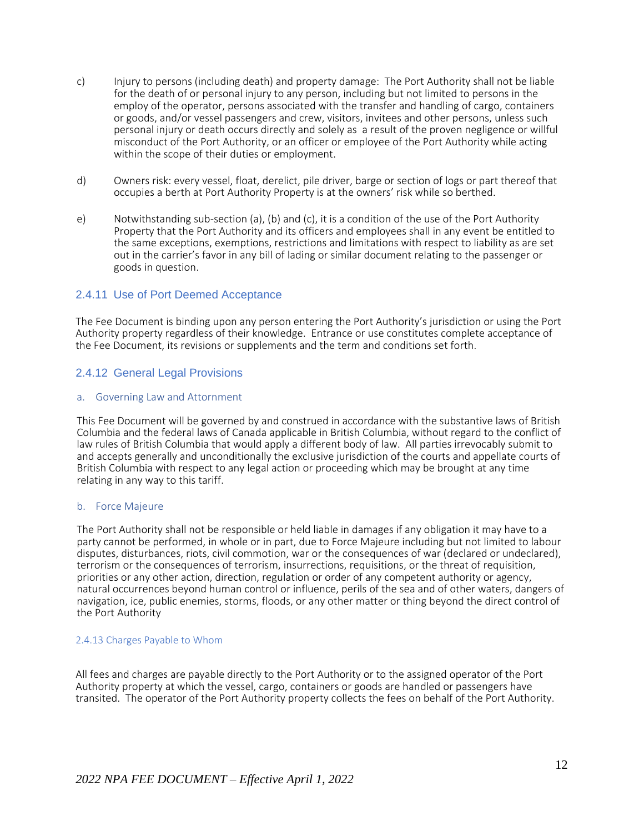- c) Injury to persons (including death) and property damage: The Port Authority shall not be liable for the death of or personal injury to any person, including but not limited to persons in the employ of the operator, persons associated with the transfer and handling of cargo, containers or goods, and/or vessel passengers and crew, visitors, invitees and other persons, unless such personal injury or death occurs directly and solely as a result of the proven negligence or willful misconduct of the Port Authority, or an officer or employee of the Port Authority while acting within the scope of their duties or employment.
- d) Owners risk: every vessel, float, derelict, pile driver, barge or section of logs or part thereof that occupies a berth at Port Authority Property is at the owners' risk while so berthed.
- e) Notwithstanding sub-section (a), (b) and (c), it is a condition of the use of the Port Authority Property that the Port Authority and its officers and employees shall in any event be entitled to the same exceptions, exemptions, restrictions and limitations with respect to liability as are set out in the carrier's favor in any bill of lading or similar document relating to the passenger or goods in question.

#### 2.4.11 Use of Port Deemed Acceptance

The Fee Document is binding upon any person entering the Port Authority's jurisdiction or using the Port Authority property regardless of their knowledge. Entrance or use constitutes complete acceptance of the Fee Document, its revisions or supplements and the term and conditions set forth.

### 2.4.12 General Legal Provisions

#### a. Governing Law and Attornment

This Fee Document will be governed by and construed in accordance with the substantive laws of British Columbia and the federal laws of Canada applicable in British Columbia, without regard to the conflict of law rules of British Columbia that would apply a different body of law. All parties irrevocably submit to and accepts generally and unconditionally the exclusive jurisdiction of the courts and appellate courts of British Columbia with respect to any legal action or proceeding which may be brought at any time relating in any way to this tariff.

#### b. Force Majeure

The Port Authority shall not be responsible or held liable in damages if any obligation it may have to a party cannot be performed, in whole or in part, due to Force Majeure including but not limited to labour disputes, disturbances, riots, civil commotion, war or the consequences of war (declared or undeclared), terrorism or the consequences of terrorism, insurrections, requisitions, or the threat of requisition, priorities or any other action, direction, regulation or order of any competent authority or agency, natural occurrences beyond human control or influence, perils of the sea and of other waters, dangers of navigation, ice, public enemies, storms, floods, or any other matter or thing beyond the direct control of the Port Authority

#### 2.4.13 Charges Payable to Whom

All fees and charges are payable directly to the Port Authority or to the assigned operator of the Port Authority property at which the vessel, cargo, containers or goods are handled or passengers have transited. The operator of the Port Authority property collects the fees on behalf of the Port Authority.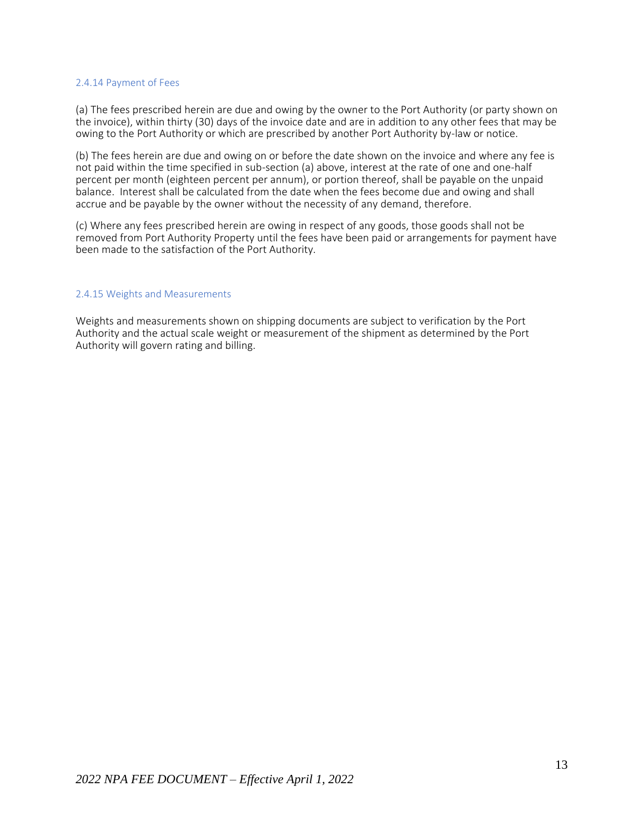#### 2.4.14 Payment of Fees

(a) The fees prescribed herein are due and owing by the owner to the Port Authority (or party shown on the invoice), within thirty (30) days of the invoice date and are in addition to any other fees that may be owing to the Port Authority or which are prescribed by another Port Authority by-law or notice.

(b) The fees herein are due and owing on or before the date shown on the invoice and where any fee is not paid within the time specified in sub-section (a) above, interest at the rate of one and one-half percent per month (eighteen percent per annum), or portion thereof, shall be payable on the unpaid balance. Interest shall be calculated from the date when the fees become due and owing and shall accrue and be payable by the owner without the necessity of any demand, therefore.

(c) Where any fees prescribed herein are owing in respect of any goods, those goods shall not be removed from Port Authority Property until the fees have been paid or arrangements for payment have been made to the satisfaction of the Port Authority.

#### 2.4.15 Weights and Measurements

Weights and measurements shown on shipping documents are subject to verification by the Port Authority and the actual scale weight or measurement of the shipment as determined by the Port Authority will govern rating and billing.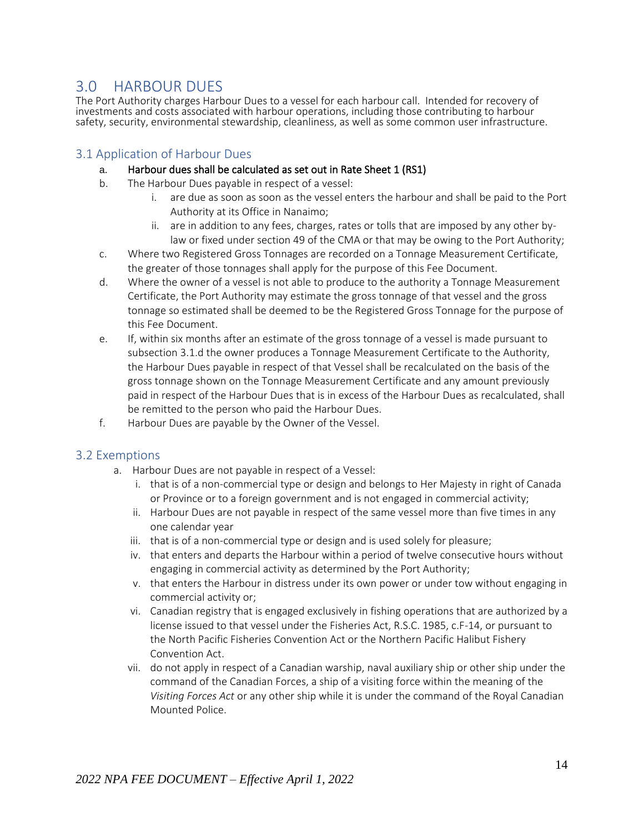## <span id="page-13-0"></span>3.0 HARBOUR DUES

The Port Authority charges Harbour Dues to a vessel for each harbour call. Intended for recovery of investments and costs associated with harbour operations, including those contributing to harbour safety, security, environmental stewardship, cleanliness, as well as some common user infrastructure.

### <span id="page-13-1"></span>3.1 Application of Harbour Dues

### a. Harbour dues shall be calculated as set out in Rate Sheet 1 (RS1)

- b. The Harbour Dues payable in respect of a vessel:
	- i. are due as soon as soon as the vessel enters the harbour and shall be paid to the Port Authority at its Office in Nanaimo;
	- ii. are in addition to any fees, charges, rates or tolls that are imposed by any other bylaw or fixed under section 49 of the CMA or that may be owing to the Port Authority;
- c. Where two Registered Gross Tonnages are recorded on a Tonnage Measurement Certificate, the greater of those tonnages shall apply for the purpose of this Fee Document.
- d. Where the owner of a vessel is not able to produce to the authority a Tonnage Measurement Certificate, the Port Authority may estimate the gross tonnage of that vessel and the gross tonnage so estimated shall be deemed to be the Registered Gross Tonnage for the purpose of this Fee Document.
- e. If, within six months after an estimate of the gross tonnage of a vessel is made pursuant to subsection 3.1.d the owner produces a Tonnage Measurement Certificate to the Authority, the Harbour Dues payable in respect of that Vessel shall be recalculated on the basis of the gross tonnage shown on the Tonnage Measurement Certificate and any amount previously paid in respect of the Harbour Dues that is in excess of the Harbour Dues as recalculated, shall be remitted to the person who paid the Harbour Dues.
- f. Harbour Dues are payable by the Owner of the Vessel.

### <span id="page-13-2"></span>3.2 Exemptions

- a. Harbour Dues are not payable in respect of a Vessel:
	- i. that is of a non-commercial type or design and belongs to Her Majesty in right of Canada or Province or to a foreign government and is not engaged in commercial activity;
	- ii. Harbour Dues are not payable in respect of the same vessel more than five times in any one calendar year
	- iii. that is of a non-commercial type or design and is used solely for pleasure;
	- iv. that enters and departs the Harbour within a period of twelve consecutive hours without engaging in commercial activity as determined by the Port Authority;
	- v. that enters the Harbour in distress under its own power or under tow without engaging in commercial activity or;
	- vi. Canadian registry that is engaged exclusively in fishing operations that are authorized by a license issued to that vessel under the Fisheries Act, R.S.C. 1985, c.F-14, or pursuant to the North Pacific Fisheries Convention Act or the Northern Pacific Halibut Fishery Convention Act.
	- vii. do not apply in respect of a Canadian warship, naval auxiliary ship or other ship under the command of the Canadian Forces, a ship of a visiting force within the meaning of the *Visiting Forces Act* or any other ship while it is under the command of the Royal Canadian Mounted Police.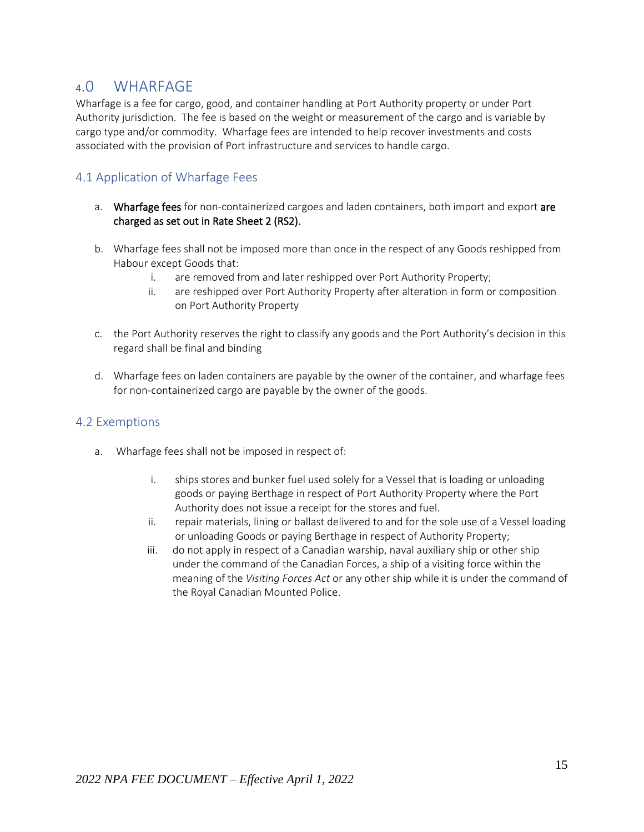## <span id="page-14-0"></span><sup>4</sup>.0 WHARFAGE

Wharfage is a fee for cargo, good, and container handling at Port Authority property or under Port Authority jurisdiction. The fee is based on the weight or measurement of the cargo and is variable by cargo type and/or commodity. Wharfage fees are intended to help recover investments and costs associated with the provision of Port infrastructure and services to handle cargo.

### <span id="page-14-1"></span>4.1 Application of Wharfage Fees

- a. Wharfage fees for non-containerized cargoes and laden containers, both import and export are charged as set out in Rate Sheet 2 (RS2).
- b. Wharfage fees shall not be imposed more than once in the respect of any Goods reshipped from Habour except Goods that:
	- i. are removed from and later reshipped over Port Authority Property;
	- ii. are reshipped over Port Authority Property after alteration in form or composition on Port Authority Property
- c. the Port Authority reserves the right to classify any goods and the Port Authority's decision in this regard shall be final and binding
- d. Wharfage fees on laden containers are payable by the owner of the container, and wharfage fees for non-containerized cargo are payable by the owner of the goods.

### <span id="page-14-2"></span>4.2 Exemptions

- a. Wharfage fees shall not be imposed in respect of:
	- i. ships stores and bunker fuel used solely for a Vessel that is loading or unloading goods or paying Berthage in respect of Port Authority Property where the Port Authority does not issue a receipt for the stores and fuel.
	- ii. repair materials, lining or ballast delivered to and for the sole use of a Vessel loading or unloading Goods or paying Berthage in respect of Authority Property;
	- iii. do not apply in respect of a Canadian warship, naval auxiliary ship or other ship under the command of the Canadian Forces, a ship of a visiting force within the meaning of the *Visiting Forces Act* or any other ship while it is under the command of the Royal Canadian Mounted Police.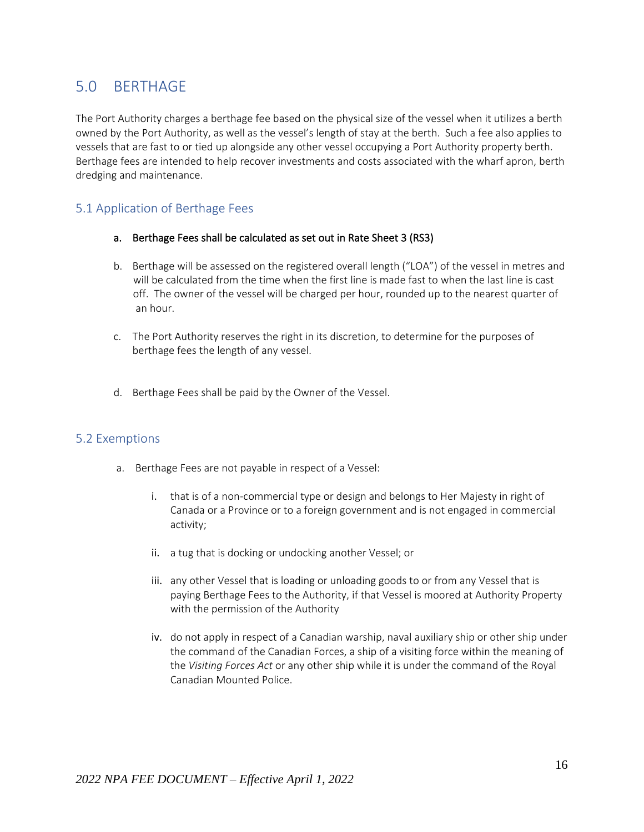# <span id="page-15-0"></span>5.0 BERTHAGE

The Port Authority charges a berthage fee based on the physical size of the vessel when it utilizes a berth owned by the Port Authority, as well as the vessel's length of stay at the berth. Such a fee also applies to vessels that are fast to or tied up alongside any other vessel occupying a Port Authority property berth. Berthage fees are intended to help recover investments and costs associated with the wharf apron, berth dredging and maintenance.

### <span id="page-15-1"></span>5.1 Application of Berthage Fees

- a. Berthage Fees shall be calculated as set out in Rate Sheet 3 (RS3)
- b. Berthage will be assessed on the registered overall length ("LOA") of the vessel in metres and will be calculated from the time when the first line is made fast to when the last line is cast off. The owner of the vessel will be charged per hour, rounded up to the nearest quarter of an hour.
- c. The Port Authority reserves the right in its discretion, to determine for the purposes of berthage fees the length of any vessel.
- d. Berthage Fees shall be paid by the Owner of the Vessel.

### <span id="page-15-2"></span>5.2 Exemptions

- a. Berthage Fees are not payable in respect of a Vessel:
	- i. that is of a non-commercial type or design and belongs to Her Majesty in right of Canada or a Province or to a foreign government and is not engaged in commercial activity;
	- ii. a tug that is docking or undocking another Vessel; or
	- iii. any other Vessel that is loading or unloading goods to or from any Vessel that is paying Berthage Fees to the Authority, if that Vessel is moored at Authority Property with the permission of the Authority
	- iv. do not apply in respect of a Canadian warship, naval auxiliary ship or other ship under the command of the Canadian Forces, a ship of a visiting force within the meaning of the *Visiting Forces Act* or any other ship while it is under the command of the Royal Canadian Mounted Police.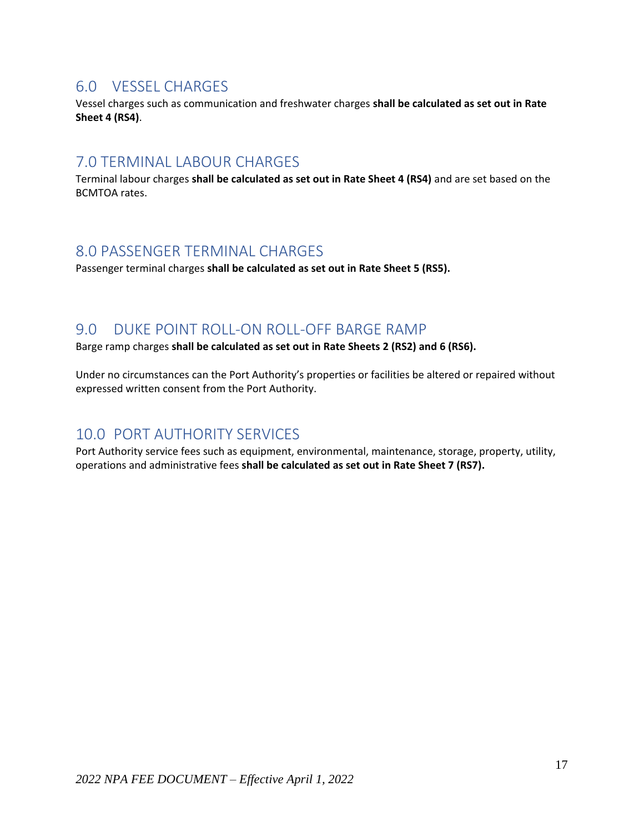## <span id="page-16-0"></span>6.0 VESSEL CHARGES

Vessel charges such as communication and freshwater charges **shall be calculated as set out in Rate Sheet 4 (RS4)**.

## <span id="page-16-1"></span>7.0 TERMINAL LABOUR CHARGES

Terminal labour charges **shall be calculated as set out in Rate Sheet 4 (RS4)** and are set based on the BCMTOA rates.

## <span id="page-16-2"></span>8.0 PASSENGER TERMINAL CHARGES

Passenger terminal charges **shall be calculated as set out in Rate Sheet 5 (RS5).**

### <span id="page-16-3"></span>9.0 DUKE POINT ROLL-ON ROLL-OFF BARGE RAMP

Barge ramp charges **shall be calculated as set out in Rate Sheets 2 (RS2) and 6 (RS6).**

Under no circumstances can the Port Authority's properties or facilities be altered or repaired without expressed written consent from the Port Authority.

## <span id="page-16-4"></span>10.0 PORT AUTHORITY SERVICES

Port Authority service fees such as equipment, environmental, maintenance, storage, property, utility, operations and administrative fees **shall be calculated as set out in Rate Sheet 7 (RS7).**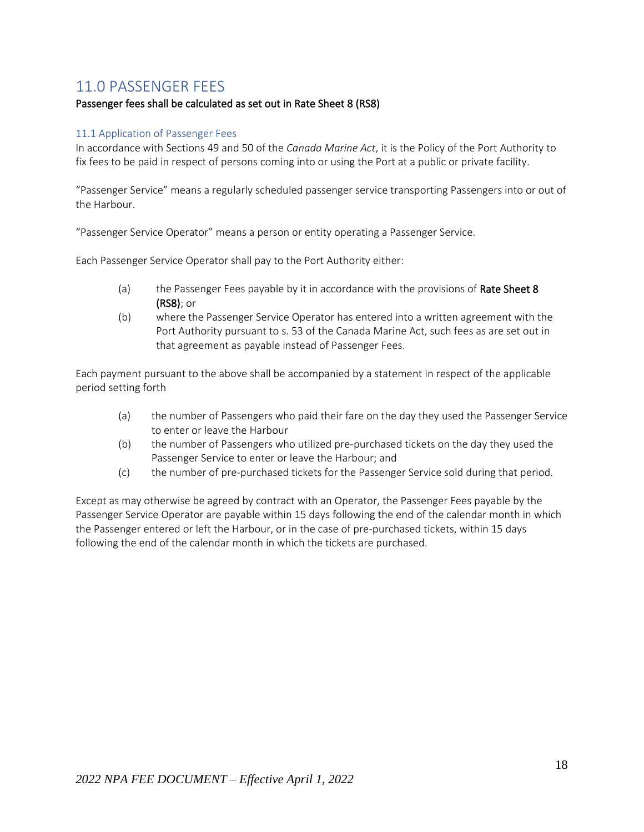# <span id="page-17-0"></span>11.0 PASSENGER FEES

### Passenger fees shall be calculated as set out in Rate Sheet 8 (RS8)

#### <span id="page-17-1"></span>11.1 Application of Passenger Fees

In accordance with Sections 49 and 50 of the *Canada Marine Act*, it is the Policy of the Port Authority to fix fees to be paid in respect of persons coming into or using the Port at a public or private facility.

"Passenger Service" means a regularly scheduled passenger service transporting Passengers into or out of the Harbour.

"Passenger Service Operator" means a person or entity operating a Passenger Service.

Each Passenger Service Operator shall pay to the Port Authority either:

- (a) the Passenger Fees payable by it in accordance with the provisions of Rate Sheet 8 (RS8); or
- (b) where the Passenger Service Operator has entered into a written agreement with the Port Authority pursuant to s. 53 of the Canada Marine Act, such fees as are set out in that agreement as payable instead of Passenger Fees.

Each payment pursuant to the above shall be accompanied by a statement in respect of the applicable period setting forth

- (a) the number of Passengers who paid their fare on the day they used the Passenger Service to enter or leave the Harbour
- (b) the number of Passengers who utilized pre-purchased tickets on the day they used the Passenger Service to enter or leave the Harbour; and
- (c) the number of pre-purchased tickets for the Passenger Service sold during that period.

Except as may otherwise be agreed by contract with an Operator, the Passenger Fees payable by the Passenger Service Operator are payable within 15 days following the end of the calendar month in which the Passenger entered or left the Harbour, or in the case of pre-purchased tickets, within 15 days following the end of the calendar month in which the tickets are purchased.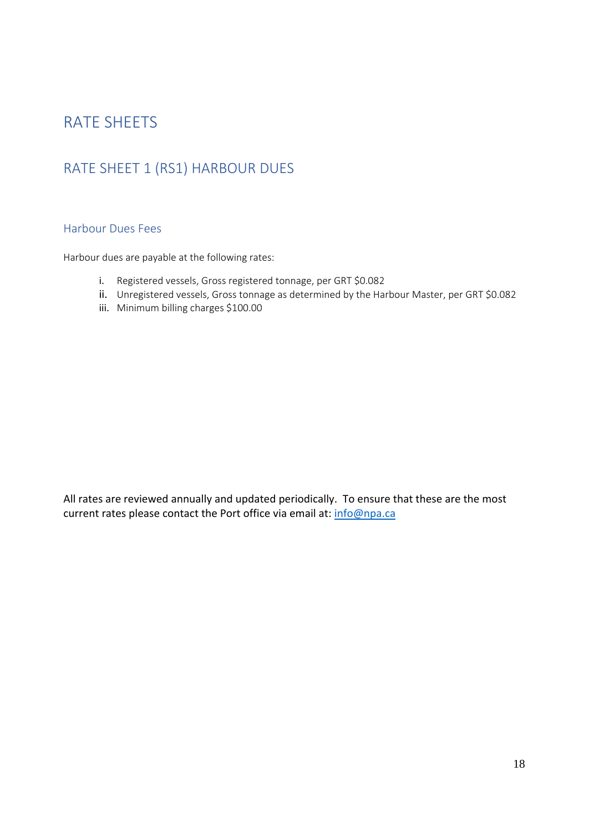# <span id="page-18-1"></span><span id="page-18-0"></span>RATE SHEETS

# <span id="page-18-2"></span>RATE SHEET 1 (RS1) HARBOUR DUES

### Harbour Dues Fees

Harbour dues are payable at the following rates:

- i. Registered vessels, Gross registered tonnage, per GRT \$0.082
- ii. Unregistered vessels, Gross tonnage as determined by the Harbour Master, per GRT \$0.082
- iii. Minimum billing charges \$100.00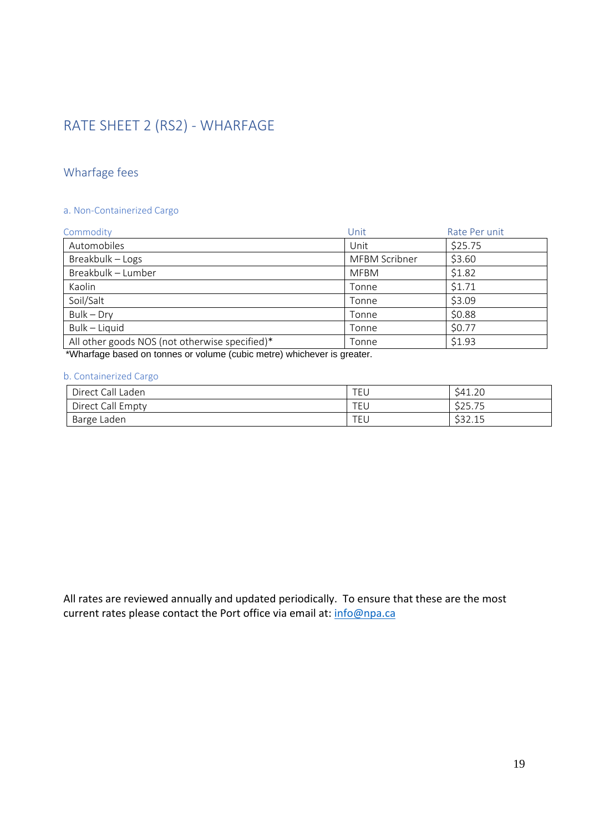# <span id="page-19-1"></span><span id="page-19-0"></span>RATE SHEET 2 (RS2) - WHARFAGE

## Wharfage fees

### a. Non-Containerized Cargo

| Commodity                                                                                                                                                                                                                          | Unit          | Rate Per unit |
|------------------------------------------------------------------------------------------------------------------------------------------------------------------------------------------------------------------------------------|---------------|---------------|
| Automobiles                                                                                                                                                                                                                        | Unit          | \$25.75       |
| Breakbulk - Logs                                                                                                                                                                                                                   | MFBM Scribner | \$3.60        |
| Breakbulk - Lumber                                                                                                                                                                                                                 | <b>MFBM</b>   | \$1.82        |
| Kaolin                                                                                                                                                                                                                             | Tonne         | \$1.71        |
| Soil/Salt                                                                                                                                                                                                                          | Tonne         | \$3.09        |
| $Bulk - Dry$                                                                                                                                                                                                                       | Tonne         | \$0.88        |
| Bulk - Liquid                                                                                                                                                                                                                      | Tonne         | \$0.77        |
| All other goods NOS (not otherwise specified)*                                                                                                                                                                                     | Tonne         | \$1.93        |
| $\mathcal{L}$ , and the contract of the contract of the contract of the contract of the contract of the contract of the contract of the contract of the contract of the contract of the contract of the contract of the contract o |               |               |

\*Wharfage based on tonnes or volume (cubic metre) whichever is greater.

#### b. Containerized Cargo

| Direct Call Laden | <b>TEL</b> | S41.20           |
|-------------------|------------|------------------|
| Direct Call Empty | <b>TEL</b> | \$25.75          |
| Barge Laden       | <b>TEL</b> | ぐつつ 1F<br>332.IJ |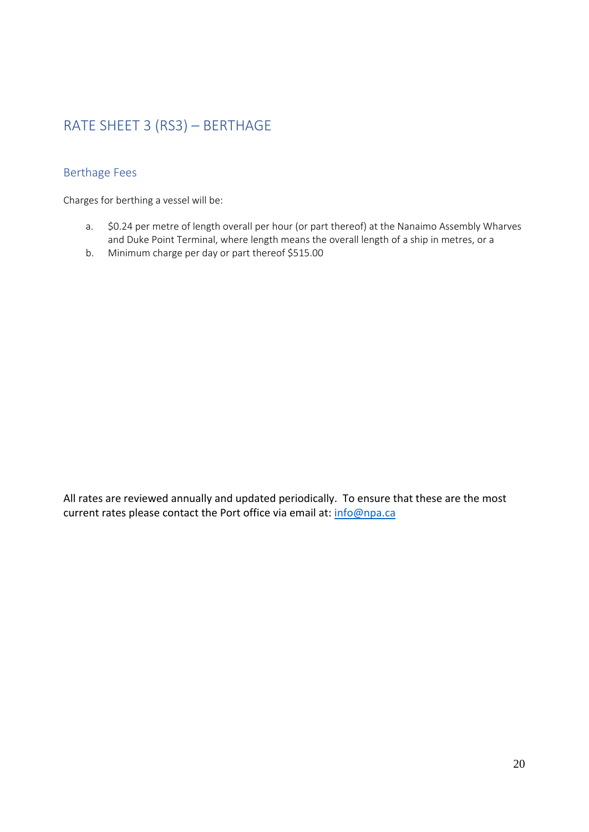# <span id="page-20-1"></span><span id="page-20-0"></span>RATE SHEET 3 (RS3) – BERTHAGE

## Berthage Fees

Charges for berthing a vessel will be:

- a. \$0.24 per metre of length overall per hour (or part thereof) at the Nanaimo Assembly Wharves and Duke Point Terminal, where length means the overall length of a ship in metres, or a
- b. Minimum charge per day or part thereof \$515.00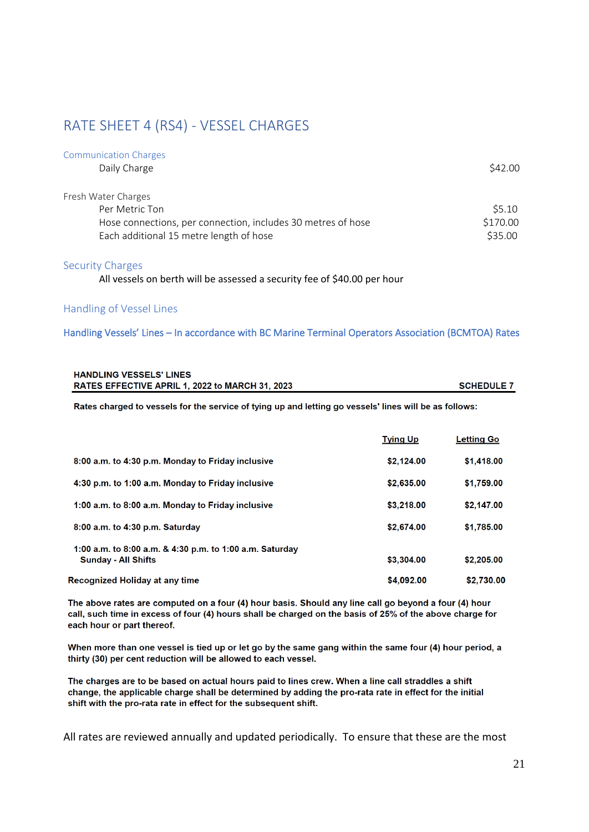# <span id="page-21-0"></span>RATE SHEET 4 (RS4) - VESSEL CHARGES

| <b>Communication Charges</b>                                 |          |
|--------------------------------------------------------------|----------|
| Daily Charge                                                 | \$42.00  |
| Fresh Water Charges                                          |          |
| Per Metric Ton                                               | \$5.10   |
| Hose connections, per connection, includes 30 metres of hose | \$170.00 |
| Each additional 15 metre length of hose                      | \$35.00  |

### Security Charges

All vessels on berth will be assessed a security fee of \$40.00 per hour

### Handling of Vessel Lines

#### Handling Vessels' Lines – In accordance with BC Marine Terminal Operators Association (BCMTOA) Rates

| <b>HANDLING VESSELS' LINES</b>                  |                   |
|-------------------------------------------------|-------------------|
| RATES EFFECTIVE APRIL 1, 2022 to MARCH 31, 2023 | <b>SCHEDULE 7</b> |

Rates charged to vessels for the service of tying up and letting go vessels' lines will be as follows:

|                                                                                        | <b>Tying Up</b> | <b>Letting Go</b> |
|----------------------------------------------------------------------------------------|-----------------|-------------------|
| 8:00 a.m. to 4:30 p.m. Monday to Friday inclusive                                      | \$2,124.00      | \$1,418,00        |
| 4:30 p.m. to 1:00 a.m. Monday to Friday inclusive                                      | \$2,635,00      | \$1,759.00        |
| 1:00 a.m. to 8:00 a.m. Monday to Friday inclusive                                      | \$3,218,00      | \$2,147.00        |
| $8:00$ a.m. to $4:30$ p.m. Saturday                                                    | \$2,674.00      | \$1,785.00        |
| 1:00 a.m. to 8:00 a.m. & 4:30 p.m. to 1:00 a.m. Saturday<br><b>Sunday - All Shifts</b> | \$3,304.00      | \$2,205.00        |
| Recognized Holiday at any time                                                         | \$4,092.00      | \$2.730.00        |

The above rates are computed on a four (4) hour basis. Should any line call go beyond a four (4) hour call, such time in excess of four (4) hours shall be charged on the basis of 25% of the above charge for each hour or part thereof.

When more than one vessel is tied up or let go by the same gang within the same four (4) hour period, a thirty (30) per cent reduction will be allowed to each vessel.

The charges are to be based on actual hours paid to lines crew. When a line call straddles a shift change, the applicable charge shall be determined by adding the pro-rata rate in effect for the initial shift with the pro-rata rate in effect for the subsequent shift.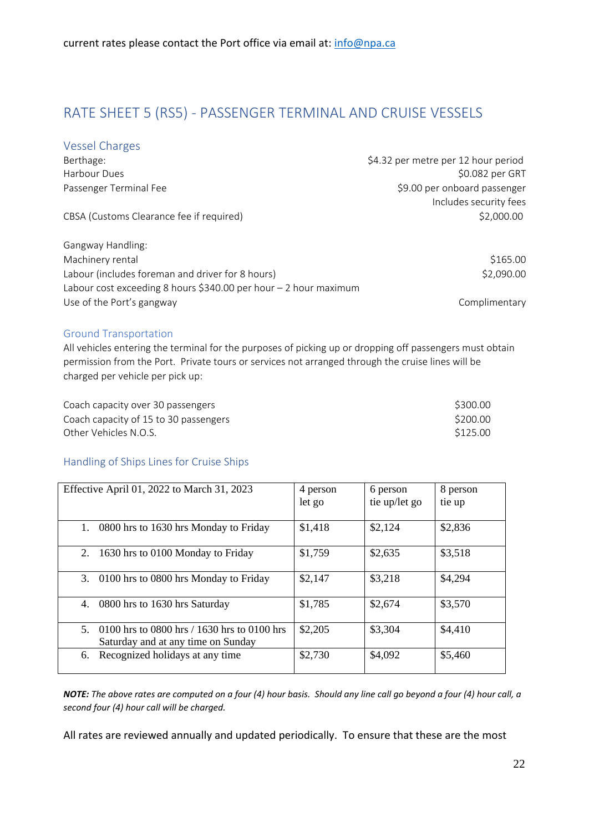# <span id="page-22-1"></span><span id="page-22-0"></span>RATE SHEET 5 (RS5) - PASSENGER TERMINAL AND CRUISE VESSELS

### Vessel Charges

| Berthage:                                                          | \$4.32 per metre per 12 hour period |
|--------------------------------------------------------------------|-------------------------------------|
| Harbour Dues                                                       | \$0.082 per GRT                     |
| Passenger Terminal Fee                                             | \$9.00 per onboard passenger        |
|                                                                    | Includes security fees              |
| CBSA (Customs Clearance fee if required)                           | \$2,000.00                          |
|                                                                    |                                     |
| Gangway Handling:                                                  |                                     |
| Machinery rental                                                   | \$165.00                            |
| Labour (includes foreman and driver for 8 hours)                   | \$2,090.00                          |
| Labour cost exceeding 8 hours \$340.00 per hour $-$ 2 hour maximum |                                     |
| Use of the Port's gangway                                          | Complimentary                       |

### <span id="page-22-2"></span>Ground Transportation

All vehicles entering the terminal for the purposes of picking up or dropping off passengers must obtain permission from the Port. Private tours or services not arranged through the cruise lines will be charged per vehicle per pick up:

<span id="page-22-3"></span>

| Coach capacity over 30 passengers     | \$300.00 |
|---------------------------------------|----------|
| Coach capacity of 15 to 30 passengers | \$200.00 |
| Other Vehicles N.O.S. .               | \$125.00 |

### Handling of Ships Lines for Cruise Ships

| Effective April 01, 2022 to March 31, 2023                                              | 4 person<br>let go | 6 person<br>tie up/let go | 8 person<br>tie up |
|-----------------------------------------------------------------------------------------|--------------------|---------------------------|--------------------|
| 1.<br>0800 hrs to 1630 hrs Monday to Friday                                             | \$1,418            | \$2,124                   | \$2,836            |
| 2.<br>1630 hrs to 0100 Monday to Friday                                                 | \$1,759            | \$2,635                   | \$3,518            |
| 3.<br>0100 hrs to 0800 hrs Monday to Friday                                             | \$2,147            | \$3,218                   | \$4,294            |
| 4.<br>0800 hrs to 1630 hrs Saturday                                                     | \$1,785            | \$2,674                   | \$3,570            |
| 0100 hrs to 0800 hrs / 1630 hrs to 0100 hrs<br>5.<br>Saturday and at any time on Sunday | \$2,205            | \$3,304                   | \$4,410            |
| Recognized holidays at any time<br>6.                                                   | \$2,730            | \$4,092                   | \$5,460            |

*NOTE: The above rates are computed on a four (4) hour basis. Should any line call go beyond a four (4) hour call, a second four (4) hour call will be charged.*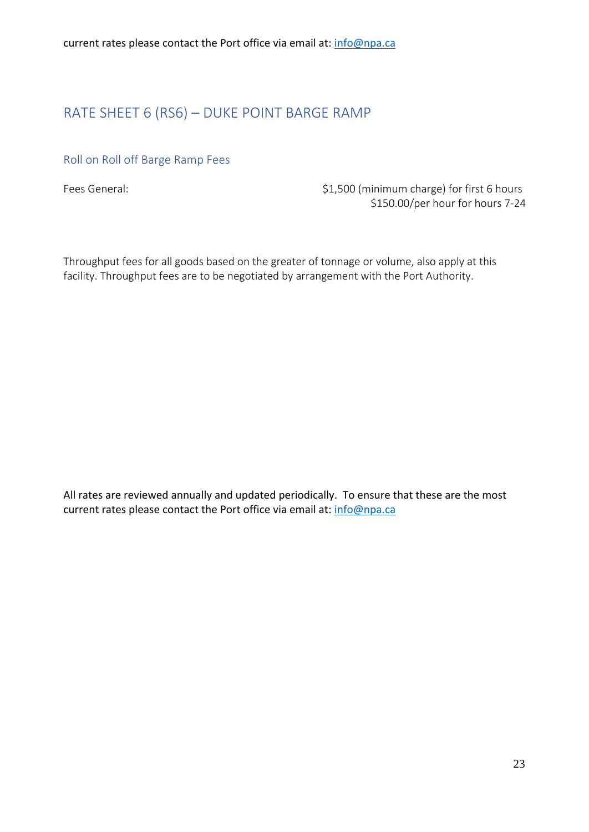# <span id="page-23-1"></span><span id="page-23-0"></span>RATE SHEET 6 (RS6) – DUKE POINT BARGE RAMP

### Roll on Roll off Barge Ramp Fees

Fees General:  $$1,500$  (minimum charge) for first 6 hours \$150.00/per hour for hours 7-24

Throughput fees for all goods based on the greater of tonnage or volume, also apply at this facility. Throughput fees are to be negotiated by arrangement with the Port Authority.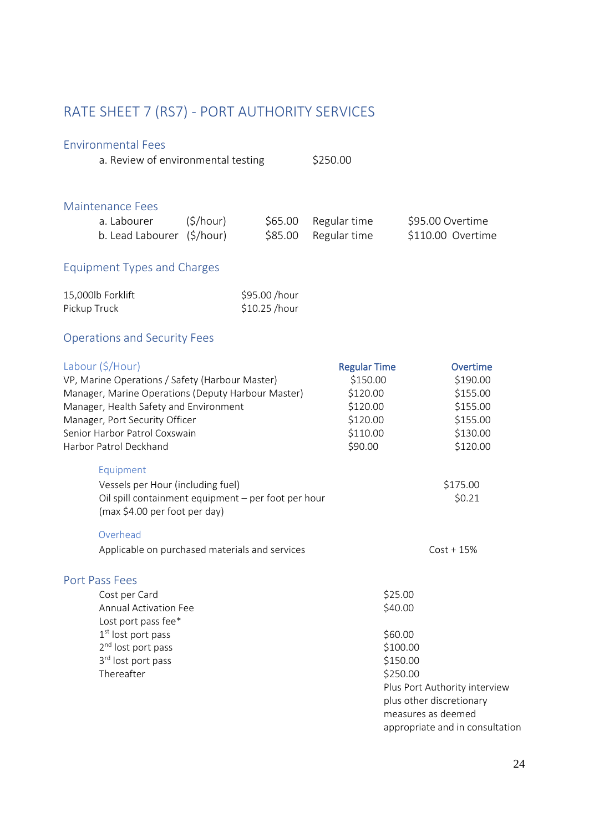# <span id="page-24-1"></span><span id="page-24-0"></span>RATE SHEET 7 (RS7) - PORT AUTHORITY SERVICES

### <span id="page-24-2"></span>Environmental Fees

a. Review of environmental testing \$250.00

### <span id="page-24-3"></span>Maintenance Fees

| a. Labourer                | (S/hour) | \$65.00 Regular time | \$95.00 Overtime  |
|----------------------------|----------|----------------------|-------------------|
| b. Lead Labourer (\$/hour) |          | \$85.00 Regular time | \$110.00 Overtime |

## Equipment Types and Charges

<span id="page-24-4"></span>

| 15,000lb Forklift | \$95.00 /hour |
|-------------------|---------------|
| Pickup Truck      | \$10.25 /hour |

# Operations and Security Fees

<span id="page-24-5"></span>

| Labour (\$/Hour)                                                                     | <b>Regular Time</b> | Overtime                        |
|--------------------------------------------------------------------------------------|---------------------|---------------------------------|
| VP, Marine Operations / Safety (Harbour Master)                                      | \$150.00            | \$190.00                        |
| Manager, Marine Operations (Deputy Harbour Master)                                   | \$120.00            | \$155.00                        |
| Manager, Health Safety and Environment                                               | \$120.00            | \$155.00                        |
| Manager, Port Security Officer                                                       | \$120.00            | \$155.00                        |
| Senior Harbor Patrol Coxswain                                                        | \$110.00            | \$130.00                        |
| Harbor Patrol Deckhand                                                               | \$90.00             | \$120.00                        |
| Equipment                                                                            |                     |                                 |
| Vessels per Hour (including fuel)                                                    |                     | \$175.00                        |
| Oil spill containment equipment - per foot per hour<br>(max \$4.00 per foot per day) |                     | \$0.21                          |
| Overhead                                                                             |                     |                                 |
| Applicable on purchased materials and services                                       |                     | $Cost + 15%$                    |
| Port Pass Fees                                                                       |                     |                                 |
| Cost per Card                                                                        | \$25.00             |                                 |
| <b>Annual Activation Fee</b>                                                         | \$40.00             |                                 |
| Lost port pass fee*                                                                  |                     |                                 |
| 1 <sup>st</sup> lost port pass                                                       | \$60.00             |                                 |
| 2 <sup>nd</sup> lost port pass                                                       | \$100.00            |                                 |
| 3rd lost port pass                                                                   | \$150.00            |                                 |
| Thereafter                                                                           | \$250.00            |                                 |
|                                                                                      |                     | Plus Port Authority interview   |
|                                                                                      |                     | plus other discretionary        |
|                                                                                      |                     | measures as deemed              |
|                                                                                      |                     | appropriate and in consultation |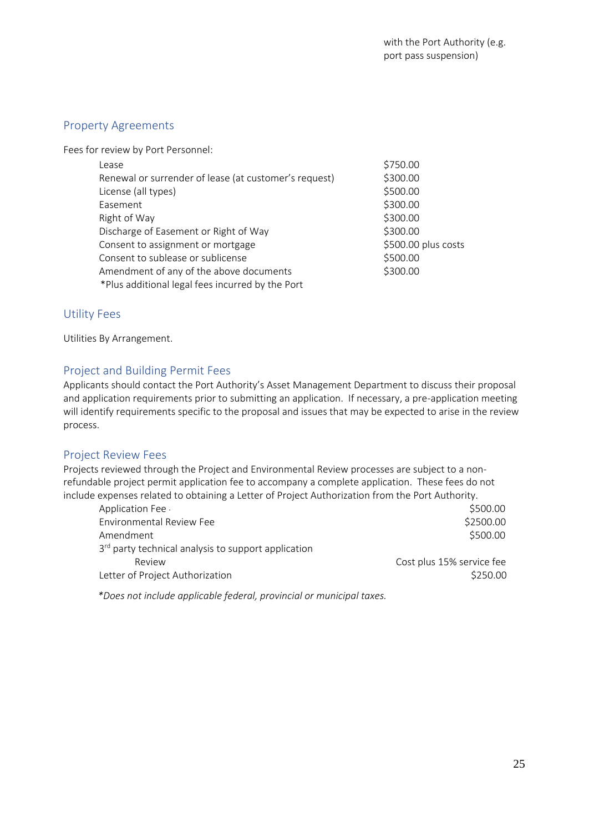### <span id="page-25-0"></span>Property Agreements

Fees for review by Port Personnel:

| Lease                                                 | \$750.00            |
|-------------------------------------------------------|---------------------|
| Renewal or surrender of lease (at customer's request) | \$300.00            |
| License (all types)                                   | \$500.00            |
| Easement                                              | \$300.00            |
| Right of Way                                          | \$300.00            |
| Discharge of Easement or Right of Way                 | \$300.00            |
| Consent to assignment or mortgage                     | \$500.00 plus costs |
| Consent to sublease or sublicense                     | \$500.00            |
| Amendment of any of the above documents               | \$300.00            |
| *Plus additional legal fees incurred by the Port      |                     |

### <span id="page-25-2"></span><span id="page-25-1"></span>Utility Fees

Utilities By Arrangement.

### Project and Building Permit Fees

<span id="page-25-3"></span>Applicants should contact the Port Authority's Asset Management Department to discuss their proposal and application requirements prior to submitting an application. If necessary, a pre-application meeting will identify requirements specific to the proposal and issues that may be expected to arise in the review process.

### Project Review Fees

Projects reviewed through the Project and Environmental Review processes are subject to a nonrefundable project permit application fee to accompany a complete application. These fees do not include expenses related to obtaining a Letter of Project Authorization from the Port Authority.

| Application Fee                                                 | \$500.00                  |
|-----------------------------------------------------------------|---------------------------|
| Environmental Review Fee                                        | \$2500.00                 |
| Amendment                                                       | \$500.00                  |
| 3 <sup>rd</sup> party technical analysis to support application |                           |
| Review                                                          | Cost plus 15% service fee |
| Letter of Project Authorization                                 | \$250.00                  |

 *\*Does not include applicable federal, provincial or municipal taxes.*